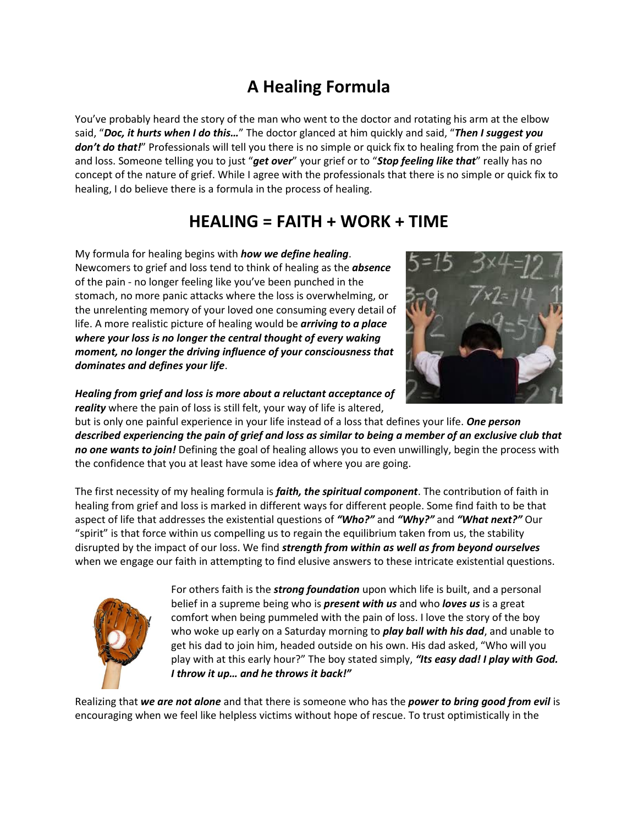## **A Healing Formula**

You've probably heard the story of the man who went to the doctor and rotating his arm at the elbow said, "*Doc, it hurts when I do this…*" The doctor glanced at him quickly and said, "*Then I suggest you don't do that!*" Professionals will tell you there is no simple or quick fix to healing from the pain of grief and loss. Someone telling you to just "*get over*" your grief or to "*Stop feeling like that*" really has no concept of the nature of grief. While I agree with the professionals that there is no simple or quick fix to healing, I do believe there is a formula in the process of healing.

## **HEALING = FAITH + WORK + TIME**

My formula for healing begins with *how we define healing*. Newcomers to grief and loss tend to think of healing as the *absence* of the pain - no longer feeling like you've been punched in the stomach, no more panic attacks where the loss is overwhelming, or the unrelenting memory of your loved one consuming every detail of life. A more realistic picture of healing would be *arriving to a place where your loss is no longer the central thought of every waking moment, no longer the driving influence of your consciousness that dominates and defines your life*.



*Healing from grief and loss is more about a reluctant acceptance of reality* where the pain of loss is still felt, your way of life is altered,

but is only one painful experience in your life instead of a loss that defines your life. *One person described experiencing the pain of grief and loss as similar to being a member of an exclusive club that no one wants to join!* Defining the goal of healing allows you to even unwillingly, begin the process with the confidence that you at least have some idea of where you are going.

The first necessity of my healing formula is *faith, the spiritual component*. The contribution of faith in healing from grief and loss is marked in different ways for different people. Some find faith to be that aspect of life that addresses the existential questions of *"Who?"* and *"Why?"* and *"What next?"* Our "spirit" is that force within us compelling us to regain the equilibrium taken from us, the stability disrupted by the impact of our loss. We find *strength from within as well as from beyond ourselves* when we engage our faith in attempting to find elusive answers to these intricate existential questions.



For others faith is the *strong foundation* upon which life is built, and a personal belief in a supreme being who is *present with us* and who *loves us* is a great comfort when being pummeled with the pain of loss. I love the story of the boy who woke up early on a Saturday morning to *play ball with his dad*, and unable to get his dad to join him, headed outside on his own. His dad asked, "Who will you play with at this early hour?" The boy stated simply, *"Its easy dad! I play with God. I throw it up… and he throws it back!"* 

Realizing that *we are not alone* and that there is someone who has the *power to bring good from evil* is encouraging when we feel like helpless victims without hope of rescue. To trust optimistically in the